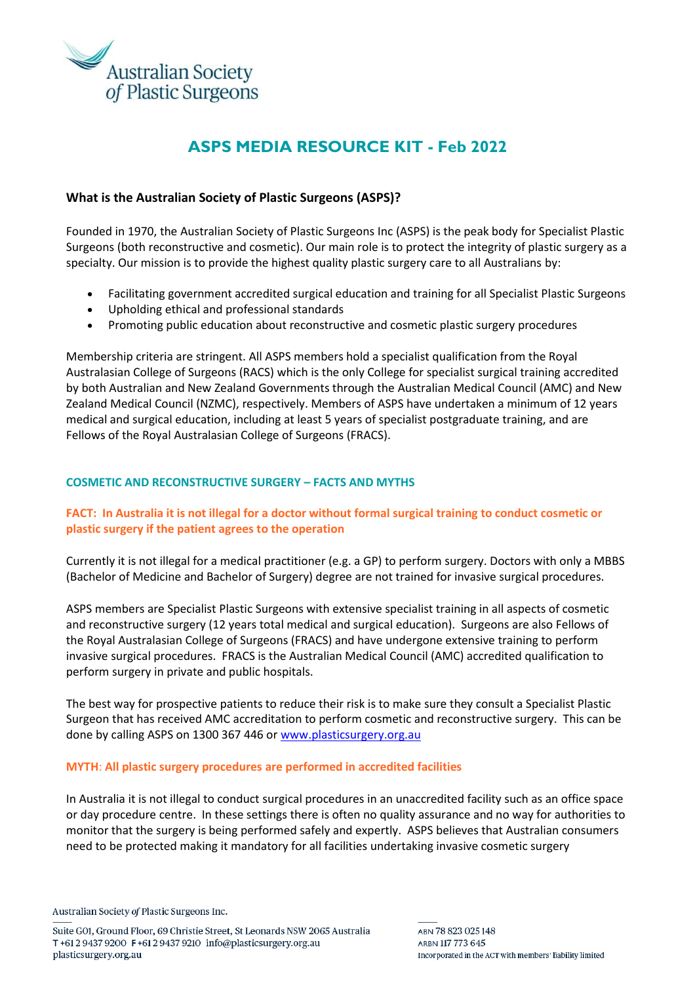

# **ASPS MEDIA RESOURCE KIT - Feb 2022**

# **What is the Australian Society of Plastic Surgeons (ASPS)?**

Founded in 1970, the Australian Society of Plastic Surgeons Inc (ASPS) is the peak body for Specialist Plastic Surgeons (both reconstructive and cosmetic). Our main role is to protect the integrity of plastic surgery as a specialty. Our mission is to provide the highest quality plastic surgery care to all Australians by:

- Facilitating government accredited surgical education and training for all Specialist Plastic Surgeons
- Upholding ethical and professional standards
- Promoting public education about reconstructive and cosmetic plastic surgery procedures

Membership criteria are stringent. All ASPS members hold a specialist qualification from the Royal Australasian College of Surgeons (RACS) which is the only College for specialist surgical training accredited by both Australian and New Zealand Governments through the Australian Medical Council (AMC) and New Zealand Medical Council (NZMC), respectively. Members of ASPS have undertaken a minimum of 12 years medical and surgical education, including at least 5 years of specialist postgraduate training, and are Fellows of the Royal Australasian College of Surgeons (FRACS).

# **COSMETIC AND RECONSTRUCTIVE SURGERY – FACTS AND MYTHS**

# **FACT: In Australia it is not illegal for a doctor without formal surgical training to conduct cosmetic or plastic surgery if the patient agrees to the operation**

Currently it is not illegal for a medical practitioner (e.g. a GP) to perform surgery. Doctors with only a MBBS (Bachelor of Medicine and Bachelor of Surgery) degree are not trained for invasive surgical procedures.

ASPS members are Specialist Plastic Surgeons with extensive specialist training in all aspects of cosmetic and reconstructive surgery (12 years total medical and surgical education). Surgeons are also Fellows of the Royal Australasian College of Surgeons (FRACS) and have undergone extensive training to perform invasive surgical procedures. FRACS is the Australian Medical Council (AMC) accredited qualification to perform surgery in private and public hospitals.

The best way for prospective patients to reduce their risk is to make sure they consult a Specialist Plastic Surgeon that has received AMC accreditation to perform cosmetic and reconstructive surgery. This can be done by calling ASPS on 1300 367 446 or [www.plasticsurgery.org.au](http://www.plasticsurgery.org.au/)

### **MYTH**: **All plastic surgery procedures are performed in accredited facilities**

In Australia it is not illegal to conduct surgical procedures in an unaccredited facility such as an office space or day procedure centre. In these settings there is often no quality assurance and no way for authorities to monitor that the surgery is being performed safely and expertly. ASPS believes that Australian consumers need to be protected making it mandatory for all facilities undertaking invasive cosmetic surgery

Australian Society of Plastic Surgeons Inc.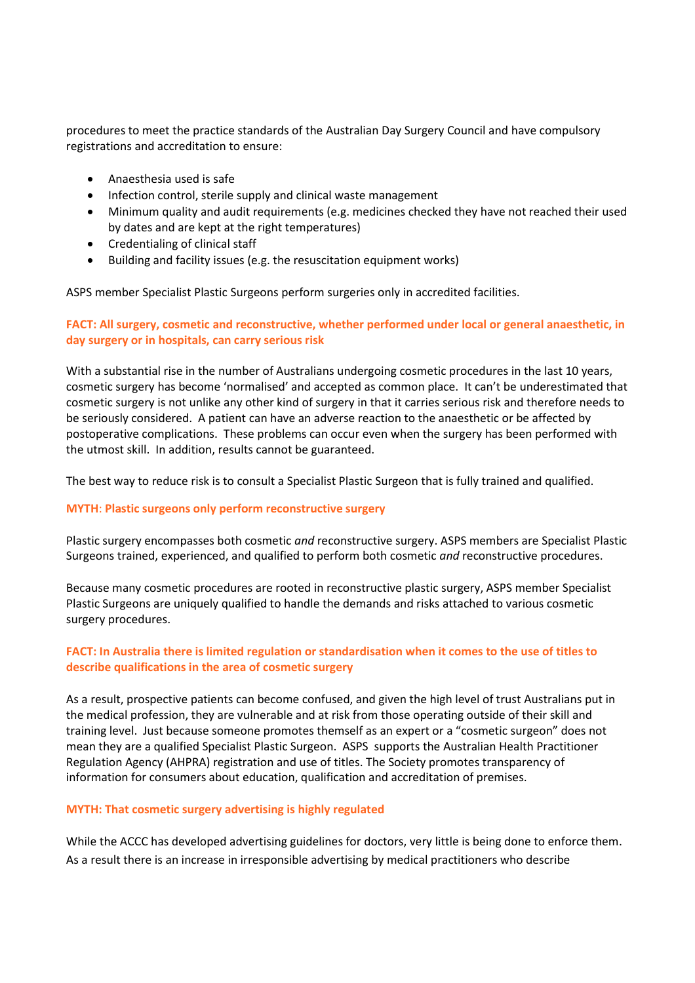procedures to meet the practice standards of the Australian Day Surgery Council and have compulsory registrations and accreditation to ensure:

- Anaesthesia used is safe
- Infection control, sterile supply and clinical waste management
- Minimum quality and audit requirements (e.g. medicines checked they have not reached their used by dates and are kept at the right temperatures)
- Credentialing of clinical staff
- Building and facility issues (e.g. the resuscitation equipment works)

ASPS member Specialist Plastic Surgeons perform surgeries only in accredited facilities.

# **FACT: All surgery, cosmetic and reconstructive, whether performed under local or general anaesthetic, in day surgery or in hospitals, can carry serious risk**

With a substantial rise in the number of Australians undergoing cosmetic procedures in the last 10 years, cosmetic surgery has become 'normalised' and accepted as common place. It can't be underestimated that cosmetic surgery is not unlike any other kind of surgery in that it carries serious risk and therefore needs to be seriously considered. A patient can have an adverse reaction to the anaesthetic or be affected by postoperative complications. These problems can occur even when the surgery has been performed with the utmost skill. In addition, results cannot be guaranteed.

The best way to reduce risk is to consult a Specialist Plastic Surgeon that is fully trained and qualified.

### **MYTH**: **Plastic surgeons only perform reconstructive surgery**

Plastic surgery encompasses both cosmetic *and* reconstructive surgery. ASPS members are Specialist Plastic Surgeons trained, experienced, and qualified to perform both cosmetic *and* reconstructive procedures.

Because many cosmetic procedures are rooted in reconstructive plastic surgery, ASPS member Specialist Plastic Surgeons are uniquely qualified to handle the demands and risks attached to various cosmetic surgery procedures.

# **FACT: In Australia there is limited regulation or standardisation when it comes to the use of titles to describe qualifications in the area of cosmetic surgery**

As a result, prospective patients can become confused, and given the high level of trust Australians put in the medical profession, they are vulnerable and at risk from those operating outside of their skill and training level. Just because someone promotes themself as an expert or a "cosmetic surgeon" does not mean they are a qualified Specialist Plastic Surgeon. ASPS supports the Australian Health Practitioner Regulation Agency (AHPRA) registration and use of titles. The Society promotes transparency of information for consumers about education, qualification and accreditation of premises.

## **MYTH: That cosmetic surgery advertising is highly regulated**

While the ACCC has developed advertising guidelines for doctors, very little is being done to enforce them. As a result there is an increase in irresponsible advertising by medical practitioners who describe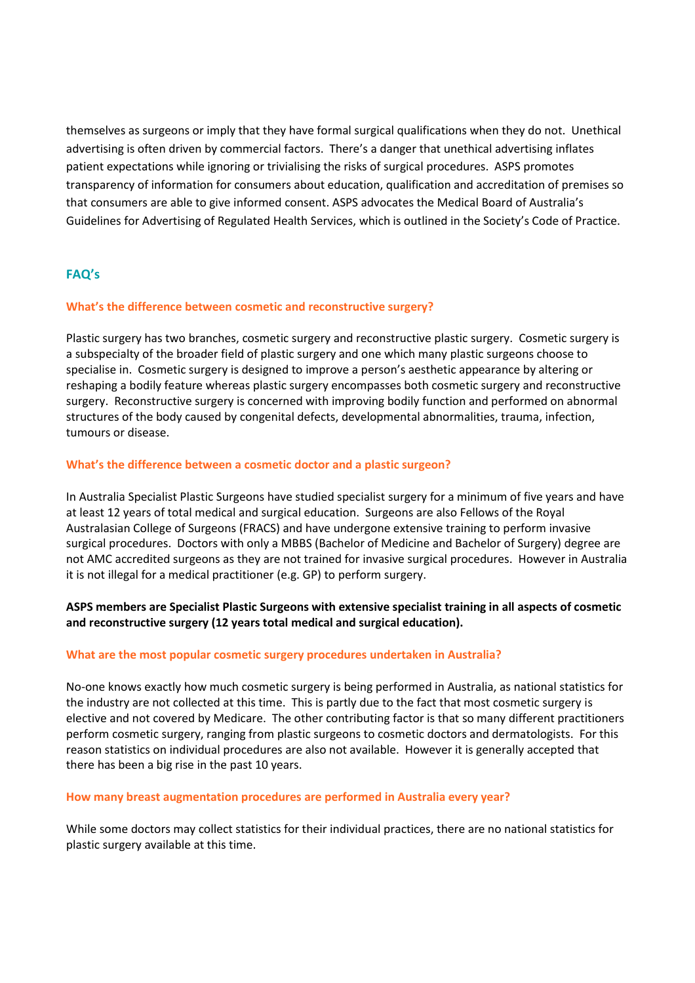themselves as surgeons or imply that they have formal surgical qualifications when they do not. Unethical advertising is often driven by commercial factors. There's a danger that unethical advertising inflates patient expectations while ignoring or trivialising the risks of surgical procedures. ASPS promotes transparency of information for consumers about education, qualification and accreditation of premises so that consumers are able to give informed consent. ASPS advocates the Medical Board of Australia's Guidelines for Advertising of Regulated Health Services, which is outlined in the Society's Code of Practice.

# **FAQ's**

#### **What's the difference between cosmetic and reconstructive surgery?**

Plastic surgery has two branches, cosmetic surgery and reconstructive plastic surgery. Cosmetic surgery is a subspecialty of the broader field of plastic surgery and one which many plastic surgeons choose to specialise in. Cosmetic surgery is designed to improve a person's aesthetic appearance by altering or reshaping a bodily feature whereas plastic surgery encompasses both cosmetic surgery and reconstructive surgery. Reconstructive surgery is concerned with improving bodily function and performed on abnormal structures of the body caused by congenital defects, developmental abnormalities, trauma, infection, tumours or disease.

### **What's the difference between a cosmetic doctor and a plastic surgeon?**

In Australia Specialist Plastic Surgeons have studied specialist surgery for a minimum of five years and have at least 12 years of total medical and surgical education. Surgeons are also Fellows of the Royal Australasian College of Surgeons (FRACS) and have undergone extensive training to perform invasive surgical procedures. Doctors with only a MBBS (Bachelor of Medicine and Bachelor of Surgery) degree are not AMC accredited surgeons as they are not trained for invasive surgical procedures. However in Australia it is not illegal for a medical practitioner (e.g. GP) to perform surgery.

# **ASPS members are Specialist Plastic Surgeons with extensive specialist training in all aspects of cosmetic and reconstructive surgery (12 years total medical and surgical education).**

#### **What are the most popular cosmetic surgery procedures undertaken in Australia?**

No-one knows exactly how much cosmetic surgery is being performed in Australia, as national statistics for the industry are not collected at this time. This is partly due to the fact that most cosmetic surgery is elective and not covered by Medicare. The other contributing factor is that so many different practitioners perform cosmetic surgery, ranging from plastic surgeons to cosmetic doctors and dermatologists. For this reason statistics on individual procedures are also not available. However it is generally accepted that there has been a big rise in the past 10 years.

#### **How many breast augmentation procedures are performed in Australia every year?**

While some doctors may collect statistics for their individual practices, there are no national statistics for plastic surgery available at this time.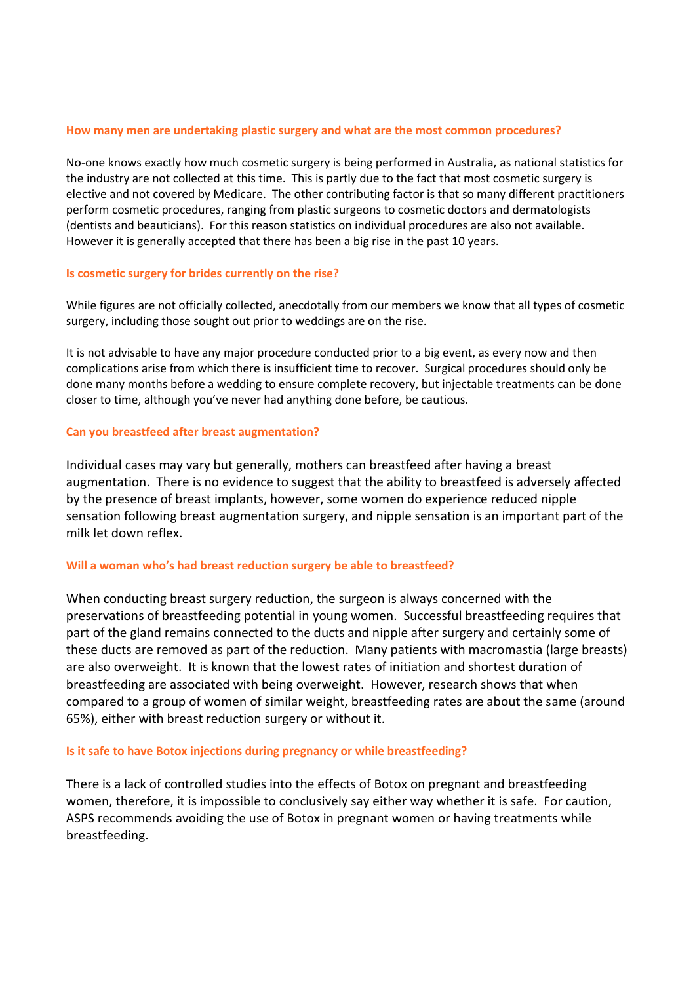#### **How many men are undertaking plastic surgery and what are the most common procedures?**

No-one knows exactly how much cosmetic surgery is being performed in Australia, as national statistics for the industry are not collected at this time. This is partly due to the fact that most cosmetic surgery is elective and not covered by Medicare. The other contributing factor is that so many different practitioners perform cosmetic procedures, ranging from plastic surgeons to cosmetic doctors and dermatologists (dentists and beauticians). For this reason statistics on individual procedures are also not available. However it is generally accepted that there has been a big rise in the past 10 years.

#### **Is cosmetic surgery for brides currently on the rise?**

While figures are not officially collected, anecdotally from our members we know that all types of cosmetic surgery, including those sought out prior to weddings are on the rise.

It is not advisable to have any major procedure conducted prior to a big event, as every now and then complications arise from which there is insufficient time to recover. Surgical procedures should only be done many months before a wedding to ensure complete recovery, but injectable treatments can be done closer to time, although you've never had anything done before, be cautious.

#### **Can you breastfeed after breast augmentation?**

Individual cases may vary but generally, mothers can breastfeed after having a breast augmentation. There is no evidence to suggest that the ability to breastfeed is adversely affected by the presence of breast implants, however, some women do experience reduced nipple sensation following breast augmentation surgery, and nipple sensation is an important part of the milk let down reflex.

### **Will a woman who's had breast reduction surgery be able to breastfeed?**

When conducting breast surgery reduction, the surgeon is always concerned with the preservations of breastfeeding potential in young women. Successful breastfeeding requires that part of the gland remains connected to the ducts and nipple after surgery and certainly some of these ducts are removed as part of the reduction. Many patients with macromastia (large breasts) are also overweight. It is known that the lowest rates of initiation and shortest duration of breastfeeding are associated with being overweight. However, research shows that when compared to a group of women of similar weight, breastfeeding rates are about the same (around 65%), either with breast reduction surgery or without it.

#### **Is it safe to have Botox injections during pregnancy or while breastfeeding?**

There is a lack of controlled studies into the effects of Botox on pregnant and breastfeeding women, therefore, it is impossible to conclusively say either way whether it is safe. For caution, ASPS recommends avoiding the use of Botox in pregnant women or having treatments while breastfeeding.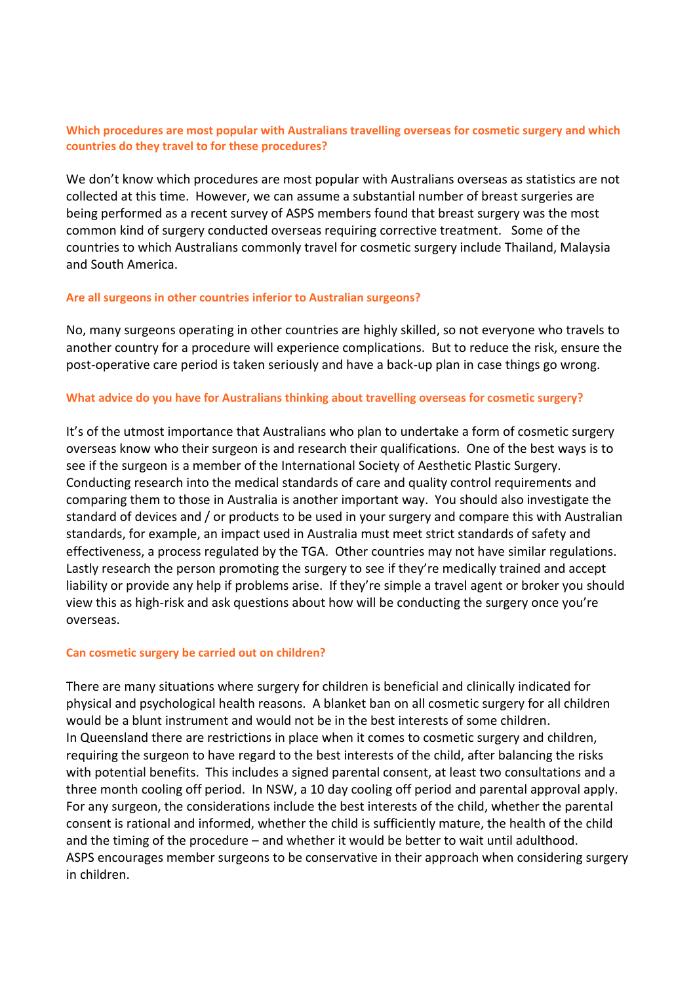# **Which procedures are most popular with Australians travelling overseas for cosmetic surgery and which countries do they travel to for these procedures?**

We don't know which procedures are most popular with Australians overseas as statistics are not collected at this time. However, we can assume a substantial number of breast surgeries are being performed as a recent survey of ASPS members found that breast surgery was the most common kind of surgery conducted overseas requiring corrective treatment. Some of the countries to which Australians commonly travel for cosmetic surgery include Thailand, Malaysia and South America.

### **Are all surgeons in other countries inferior to Australian surgeons?**

No, many surgeons operating in other countries are highly skilled, so not everyone who travels to another country for a procedure will experience complications. But to reduce the risk, ensure the post-operative care period is taken seriously and have a back-up plan in case things go wrong.

### **What advice do you have for Australians thinking about travelling overseas for cosmetic surgery?**

It's of the utmost importance that Australians who plan to undertake a form of cosmetic surgery overseas know who their surgeon is and research their qualifications. One of the best ways is to see if the surgeon is a member of the International Society of Aesthetic Plastic Surgery. Conducting research into the medical standards of care and quality control requirements and comparing them to those in Australia is another important way. You should also investigate the standard of devices and / or products to be used in your surgery and compare this with Australian standards, for example, an impact used in Australia must meet strict standards of safety and effectiveness, a process regulated by the TGA. Other countries may not have similar regulations. Lastly research the person promoting the surgery to see if they're medically trained and accept liability or provide any help if problems arise. If they're simple a travel agent or broker you should view this as high-risk and ask questions about how will be conducting the surgery once you're overseas.

### **Can cosmetic surgery be carried out on children?**

There are many situations where surgery for children is beneficial and clinically indicated for physical and psychological health reasons. A blanket ban on all cosmetic surgery for all children would be a blunt instrument and would not be in the best interests of some children. In Queensland there are restrictions in place when it comes to cosmetic surgery and children, requiring the surgeon to have regard to the best interests of the child, after balancing the risks with potential benefits. This includes a signed parental consent, at least two consultations and a three month cooling off period. In NSW, a 10 day cooling off period and parental approval apply. For any surgeon, the considerations include the best interests of the child, whether the parental consent is rational and informed, whether the child is sufficiently mature, the health of the child and the timing of the procedure – and whether it would be better to wait until adulthood. ASPS encourages member surgeons to be conservative in their approach when considering surgery in children.